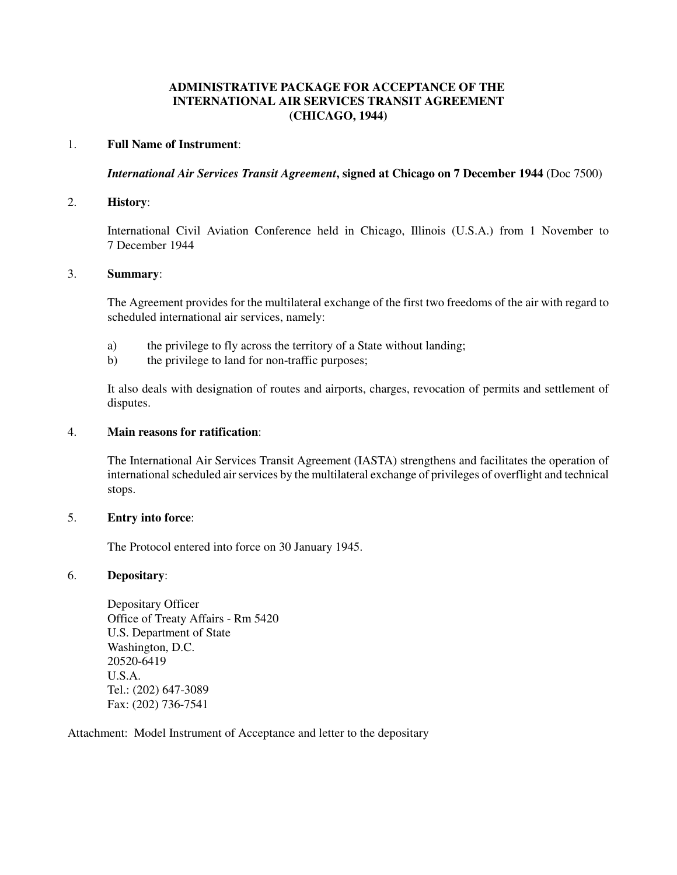# **ADMINISTRATIVE PACKAGE FOR ACCEPTANCE OF THE INTERNATIONAL AIR SERVICES TRANSIT AGREEMENT (CHICAGO, 1944)**

## 1. **Full Name of Instrument**:

*International Air Services Transit Agreement***, signed at Chicago on 7 December 1944** (Doc 7500)

## 2. **History**:

International Civil Aviation Conference held in Chicago, Illinois (U.S.A.) from 1 November to 7 December 1944

### 3. **Summary**:

The Agreement provides for the multilateral exchange of the first two freedoms of the air with regard to scheduled international air services, namely:

- a) the privilege to fly across the territory of a State without landing;
- b) the privilege to land for non-traffic purposes;

It also deals with designation of routes and airports, charges, revocation of permits and settlement of disputes.

### 4. **Main reasons for ratification**:

The International Air Services Transit Agreement (IASTA) strengthens and facilitates the operation of international scheduled air services by the multilateral exchange of privileges of overflight and technical stops.

#### 5. **Entry into force**:

The Protocol entered into force on 30 January 1945.

#### 6. **Depositary**:

Depositary Officer Office of Treaty Affairs - Rm 5420 U.S. Department of State Washington, D.C. 20520-6419 U.S.A. Tel.: (202) 647-3089 Fax: (202) 736-7541

Attachment: Model Instrument of Acceptance and letter to the depositary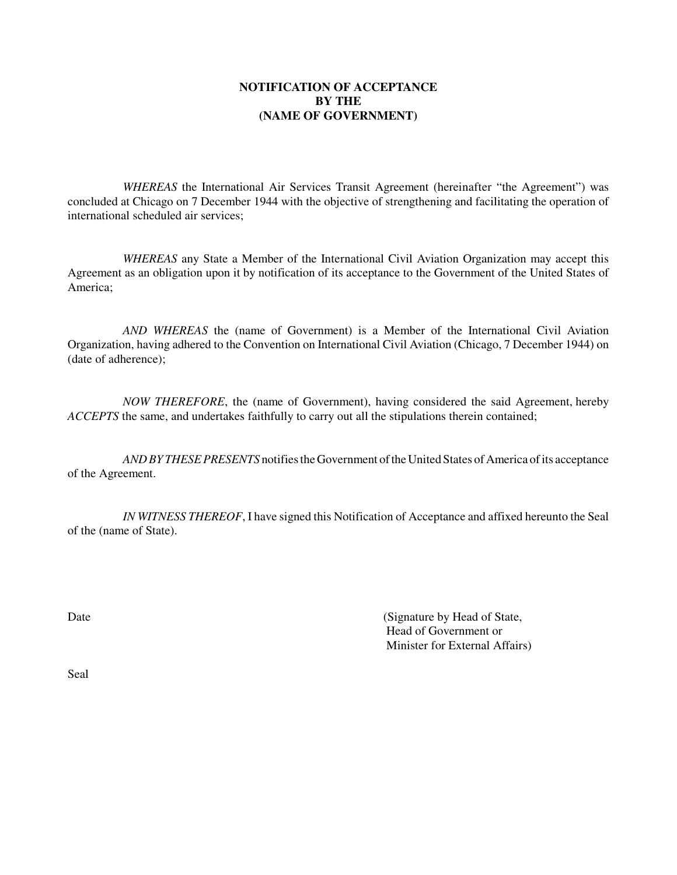# **NOTIFICATION OF ACCEPTANCE BY THE (NAME OF GOVERNMENT)**

*WHEREAS* the International Air Services Transit Agreement (hereinafter "the Agreement") was concluded at Chicago on 7 December 1944 with the objective of strengthening and facilitating the operation of international scheduled air services;

*WHEREAS* any State a Member of the International Civil Aviation Organization may accept this Agreement as an obligation upon it by notification of its acceptance to the Government of the United States of America;

*AND WHEREAS* the (name of Government) is a Member of the International Civil Aviation Organization, having adhered to the Convention on International Civil Aviation (Chicago, 7 December 1944) on (date of adherence);

*NOW THEREFORE*, the (name of Government), having considered the said Agreement, hereby *ACCEPTS* the same, and undertakes faithfully to carry out all the stipulations therein contained;

*ANDBY THESE PRESENTS* notifies the Government of the United States of America of its acceptance of the Agreement.

*IN WITNESS THEREOF*, I have signed this Notification of Acceptance and affixed hereunto the Seal of the (name of State).

Date (Signature by Head of State, Head of Government or Minister for External Affairs)

Seal